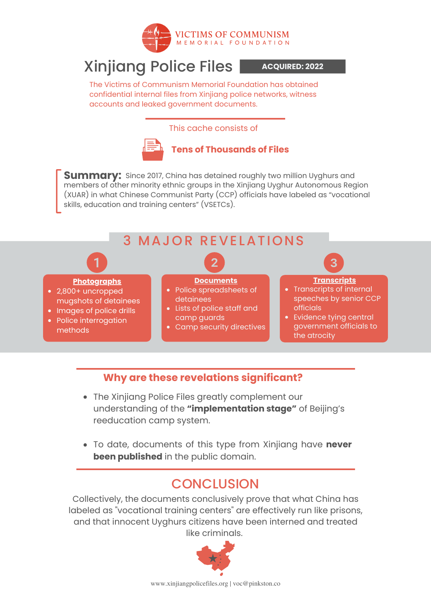

# Xinjiang Police Files

**ACQUIRED: 2022**

The Victims of Communism Memorial Foundation has obtained confidential internal files from Xinjiang police networks, witness accounts and leaked government documents.

#### This cache consists of



**Tens of Thousands of Files**

 $\mathsf{Summary:}\ \mathsf{Since}\ 2017$ , China has detained roughly two million Uyghurs and members of other minority ethnic groups in the Xinjiang Uyghur Autonomous Region (XUAR) in what Chinese Communist Party (CCP) officials have labeled as "vocational skills, education and training centers" (VSETCs).



#### **Why are these revelations significant?**

- The Xinjiang Police Files greatly complement our understanding of the **"implementation stage"** of Beijing's reeducation camp system.
- To date, documents of this type from Xinjiang have **never been published** in the public domain.

#### CONCLUSION

Collectively, the documents conclusively prove that what China has labeled as "vocational training centers" are effectively run like prisons, and that innocent Uyghurs citizens have been interned and treated like criminals.

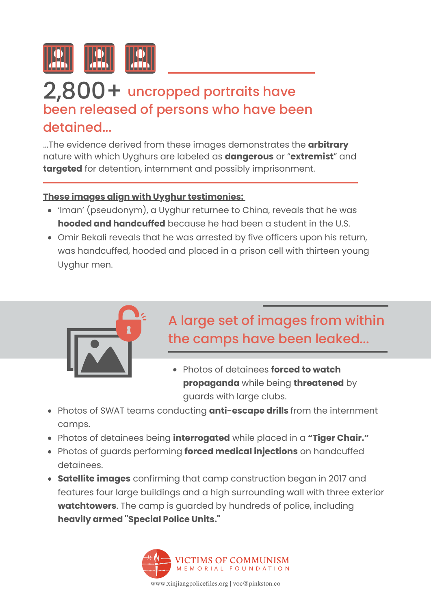

### 2,800 + uncropped portraits have been released of persons who have been detained...

...The evidence derived from these images demonstrates the **arbitrary** nature with which Uyghurs are labeled as **dangerous** or "**extremist**" and **targeted** for detention, internment and possibly imprisonment.

#### **These images align with Uyghur testimonies:**

- 'Iman' (pseudonym), a Uyghur returnee to China, reveals that he was **hooded and handcuffed** because he had been a student in the U.S.
- Omir Bekali reveals that he was arrested by five officers upon his return, was handcuffed, hooded and placed in a prison cell with thirteen young Uyghur men.



### A large set of images from within the camps have been leaked...

- Photos of detainees **forced to watch propaganda** while being **threatened** by guards with large clubs.
- Photos of SWAT teams conducting **anti-escape drills** from the internment camps.
- Photos of detainees being **interrogated** while placed in a **"Tiger Chair."**
- Photos of guards performing **forced medical injections** on handcuffed detainees.
- **Satellite images** confirming that camp construction began in 2017 and features four large buildings and a high surrounding wall with three exterior **watchtowers**. The camp is guarded by hundreds of police, including **heavily armed "Special Police Units."**



www.xinjiangpolicefiles.org | voc@pinkston.co